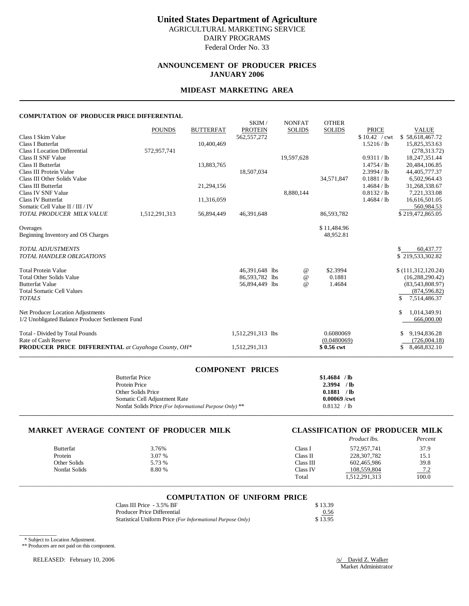### **ANNOUNCEMENT OF PRODUCER PRICES JANUARY 2006**

#### **MIDEAST MARKETING AREA**

#### **COMPUTATION OF PRODUCER PRICE DIFFERENTIAL**

|                                                            |               |                  | SKIM/             | <b>NONFAT</b> | <b>OTHER</b>  |               |                              |
|------------------------------------------------------------|---------------|------------------|-------------------|---------------|---------------|---------------|------------------------------|
|                                                            | <b>POUNDS</b> | <b>BUTTERFAT</b> | <b>PROTEIN</b>    | <b>SOLIDS</b> | <b>SOLIDS</b> | <b>PRICE</b>  | <b>VALUE</b>                 |
| Class I Skim Value                                         |               |                  | 562, 557, 272     |               |               | \$10.42 / cwt | \$58,618,467.72              |
| <b>Class I Butterfat</b>                                   |               | 10,400,469       |                   |               |               | 1.5216 / lb   | 15,825,353.63                |
| <b>Class I Location Differential</b>                       | 572,957,741   |                  |                   |               |               |               | (278, 313, 72)               |
| Class II SNF Value                                         |               |                  |                   | 19,597,628    |               | 0.9311 / lb   | 18,247,351.44                |
| Class II Butterfat                                         |               | 13,883,765       |                   |               |               | 1.4754 / lb   | 20,484,106.85                |
| Class III Protein Value                                    |               |                  | 18,507,034        |               |               | 2.3994 / lb   | 44,405,777.37                |
| Class III Other Solids Value                               |               |                  |                   |               | 34,571,847    | 0.1881 / lb   | 6,502,964.43                 |
| <b>Class III Butterfat</b>                                 |               | 21,294,156       |                   |               |               | 1.4684 / lb   | 31,268,338.67                |
| Class IV SNF Value                                         |               |                  |                   | 8,880,144     |               | 0.8132 / lb   | 7,221,333.08                 |
| <b>Class IV Butterfat</b>                                  |               | 11,316,059       |                   |               |               | 1.4684 / lb   | 16,616,501.05                |
| Somatic Cell Value II / III / IV                           |               |                  |                   |               |               |               | 560,984.53                   |
| TOTAL PRODUCER MILK VALUE                                  | 1,512,291,313 | 56,894,449       | 46,391,648        |               | 86,593,782    |               | \$219,472,865.05             |
| Overages                                                   |               |                  |                   |               | \$11,484.96   |               |                              |
| Beginning Inventory and OS Charges                         |               |                  |                   |               | 48,952.81     |               |                              |
|                                                            |               |                  |                   |               |               |               |                              |
| <b>TOTAL ADJUSTMENTS</b>                                   |               |                  |                   |               |               |               | 60,437.77                    |
| <b>TOTAL HANDLER OBLIGATIONS</b>                           |               |                  |                   |               |               |               | \$219,533,302.82             |
|                                                            |               |                  |                   |               |               |               |                              |
| <b>Total Protein Value</b>                                 |               |                  | 46,391,648 lbs    | @             | \$2.3994      |               | \$(111,312,120.24)           |
| <b>Total Other Solids Value</b>                            |               |                  | 86,593,782 lbs    | $\omega$      | 0.1881        |               | (16, 288, 290.42)            |
| <b>Butterfat Value</b>                                     |               |                  | 56,894,449 lbs    | $\omega$      | 1.4684        |               | (83,543,808.97)              |
| <b>Total Somatic Cell Values</b>                           |               |                  |                   |               |               |               | (874, 596.82)                |
| <b>TOTALS</b>                                              |               |                  |                   |               |               |               | \$<br>7,514,486.37           |
| Net Producer Location Adjustments                          |               |                  |                   |               |               |               | 1,014,349.91<br>\$.          |
| 1/2 Unobligated Balance Producer Settlement Fund           |               |                  |                   |               |               |               | 666,000.00                   |
|                                                            |               |                  |                   |               | 0.6080069     |               |                              |
| Total - Divided by Total Pounds<br>Rate of Cash Reserve    |               |                  | 1,512,291,313 lbs |               | (0.0480069)   |               | 9,194,836.28<br>(726,004.18) |
| <b>PRODUCER PRICE DIFFERENTIAL</b> at Cuyahoga County, OH* |               |                  | 1,512,291,313     |               | \$0.56 cwt    |               | 8,468,832.10<br>\$           |
|                                                            |               |                  |                   |               |               |               |                              |

| <b>COMPONENT PRICES</b>                                 |                |
|---------------------------------------------------------|----------------|
| <b>Butterfat Price</b>                                  | $$1.4684$ /lb  |
| Protein Price                                           | $2.3994$ /lb   |
| Other Solids Price                                      | 0.1881 / lb    |
| Somatic Cell Adjustment Rate                            | $0.00069$ /cwt |
| Nonfat Solids Price (For Informational Purpose Only) ** | 0.8132 / lb    |
|                                                         |                |

#### **MARKET AVERAGE CONTENT OF PRODUCER MILK CLASSIFICATION OF PRODUCER MILK**

# *Product lbs. Percent*

| 3.76%  | Class 1   | 572,957,741   | 37.9         |
|--------|-----------|---------------|--------------|
| 3.07 % | Class II  | 228,307,782   | 15.1         |
| 5.73 % | Class III | 602,465,986   | 39.8         |
| 8.80 % | Class IV  | 108,559,804   | 72<br>$-1.4$ |
|        | Total     | 1,512,291,313 | 100.0        |
|        |           |               |              |

# \_\_\_\_\_\_\_\_\_\_\_\_\_\_\_\_\_\_\_\_\_\_\_\_\_\_\_\_\_\_\_\_\_\_\_\_\_\_\_\_\_\_\_\_\_\_\_\_\_\_\_\_\_\_\_\_\_\_\_\_\_\_\_\_\_\_\_\_\_\_\_\_\_\_\_\_\_\_\_\_\_\_\_\_\_\_\_\_\_\_\_\_\_\_\_\_\_\_\_\_\_\_\_\_\_\_\_\_\_\_\_\_\_\_\_\_\_\_\_\_\_\_\_\_\_\_\_\_\_\_\_\_\_\_\_\_\_\_\_ **COMPUTATION OF UNIFORM PRICE**

| Class III Price - 3.5% BF                                  | \$13.39 |
|------------------------------------------------------------|---------|
| Producer Price Differential                                | 0.56    |
| Statistical Uniform Price (For Informational Purpose Only) | \$13.95 |

\* Subject to Location Adjustment.

\_\_\_\_\_\_\_\_\_\_\_\_

\*\* Producers are not paid on this component.

RELEASED: February 10, 2006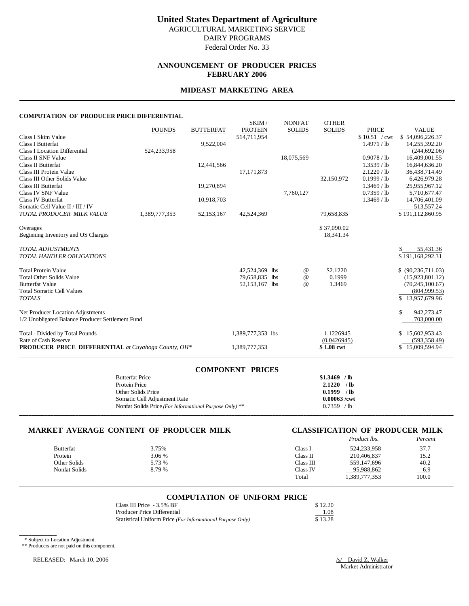### **ANNOUNCEMENT OF PRODUCER PRICES FEBRUARY 2006**

#### **MIDEAST MARKETING AREA**

#### **COMPUTATION OF PRODUCER PRICE DIFFERENTIAL**

| COMI UTATION OF TRODUCERTRICE DIFFERENTIAL                                            |               |                  |                         |                                |                               |                                |                                      |
|---------------------------------------------------------------------------------------|---------------|------------------|-------------------------|--------------------------------|-------------------------------|--------------------------------|--------------------------------------|
| Class I Skim Value                                                                    | <b>POUNDS</b> | <b>BUTTERFAT</b> | SKIM/<br><b>PROTEIN</b> | <b>NONFAT</b><br><b>SOLIDS</b> | <b>OTHER</b><br><b>SOLIDS</b> | <b>PRICE</b><br>\$10.51 / cwt  | <b>VALUE</b>                         |
| <b>Class I Butterfat</b>                                                              |               | 9,522,004        | 514,711,954             |                                |                               | 1.4971 / lb                    | \$54,096,226.37<br>14,255,392.20     |
| <b>Class I Location Differential</b>                                                  | 524,233,958   |                  |                         |                                |                               |                                | (244, 692, 06)                       |
| Class II SNF Value                                                                    |               |                  |                         | 18,075,569                     |                               | 0.9078 / lb                    | 16,409,001.55                        |
| <b>Class II Butterfat</b><br>Class III Protein Value                                  |               | 12,441,566       | 17, 171, 873            |                                |                               | $1.3539$ / lb<br>$2.1220$ / lb | 16,844,636.20<br>36,438,714.49       |
| Class III Other Solids Value                                                          |               |                  |                         |                                | 32,150,972                    | 0.1999 / lb                    | 6,426,979.28                         |
| Class III Butterfat                                                                   |               | 19,270,894       |                         |                                |                               | $1.3469$ / lb                  | 25,955,967.12                        |
| Class IV SNF Value                                                                    |               |                  |                         | 7,760,127                      |                               | $0.7359$ / lb                  | 5,710,677.47                         |
| <b>Class IV Butterfat</b><br>Somatic Cell Value II / III / IV                         |               | 10,918,703       |                         |                                |                               | $1.3469$ / lb                  | 14,706,401.09<br>513,557.24          |
| TOTAL PRODUCER MILK VALUE                                                             | 1,389,777,353 | 52,153,167       | 42,524,369              |                                | 79,658,835                    |                                | \$191,112,860.95                     |
| Overages                                                                              |               |                  |                         |                                | \$37,090.02                   |                                |                                      |
| Beginning Inventory and OS Charges                                                    |               |                  |                         |                                | 18,341.34                     |                                |                                      |
| <b>TOTAL ADJUSTMENTS</b><br><b>TOTAL HANDLER OBLIGATIONS</b>                          |               |                  |                         |                                |                               |                                | 55,431.36<br>\$191,168,292.31        |
| <b>Total Protein Value</b>                                                            |               |                  | 42,524,369 lbs          | $^{\,a}$                       | \$2.1220                      |                                | \$ (90, 236, 711.03)                 |
| <b>Total Other Solids Value</b>                                                       |               |                  | 79,658,835 lbs          | $^{\copyright}$                | 0.1999                        |                                | (15,923,801.12)                      |
| <b>Butterfat Value</b><br><b>Total Somatic Cell Values</b>                            |               |                  | 52,153,167 lbs          | $\omega$                       | 1.3469                        |                                | (70, 245, 100.67)<br>(804,999.53)    |
| <b>TOTALS</b>                                                                         |               |                  |                         |                                |                               |                                | \$13,957,679.96                      |
| Net Producer Location Adjustments<br>1/2 Unobligated Balance Producer Settlement Fund |               |                  |                         |                                |                               |                                | \$<br>942,273.47<br>703,000.00       |
| Total - Divided by Total Pounds<br>Rate of Cash Reserve                               |               |                  | 1,389,777,353 lbs       |                                | 1.1226945<br>(0.0426945)      |                                | 15,602,953.43<br>S.<br>(593, 358.49) |
| <b>PRODUCER PRICE DIFFERENTIAL</b> at Cuyahoga County, OH*                            |               |                  | 1,389,777,353           |                                | \$1.08 cwt                    |                                | \$15,009,594.94                      |

| <b>COMPONENT PRICES</b>                                 |                |
|---------------------------------------------------------|----------------|
| <b>Butterfat Price</b>                                  | $$1.3469$ /lb  |
| Protein Price                                           | $2.1220$ /lb   |
| Other Solids Price                                      | 0.1999 / lb    |
| Somatic Cell Adjustment Rate                            | $0.00063$ /cwt |
| Nonfat Solids Price (For Informational Purpose Only) ** | $0.7359$ /lb   |
|                                                         |                |

#### **MARKET AVERAGE CONTENT OF PRODUCER MILK CLASSIFICATION OF PRODUCER MILK**

|                  |        |           | Product lbs. | Percent |
|------------------|--------|-----------|--------------|---------|
| <b>Butterfat</b> | 3.75%  | Class 1   | 524,233,958  | 37.7    |
| Protein          | 3.06 % | Class II  | 210.406.837  | 15.2    |
| Other Solids     | 5.73 % | Class III | 559.147.696  | 40.2    |
| Nonfat Solids    | 8.79 % | Class IV  | 95.988.862   | $-6.9$  |
|                  |        | Total     | 389,777,353  | 100.0   |

# \_\_\_\_\_\_\_\_\_\_\_\_\_\_\_\_\_\_\_\_\_\_\_\_\_\_\_\_\_\_\_\_\_\_\_\_\_\_\_\_\_\_\_\_\_\_\_\_\_\_\_\_\_\_\_\_\_\_\_\_\_\_\_\_\_\_\_\_\_\_\_\_\_\_\_\_\_\_\_\_\_\_\_\_\_\_\_\_\_\_\_\_\_\_\_\_\_\_\_\_\_\_\_\_\_\_\_\_\_\_\_\_\_\_\_\_\_\_\_\_\_\_\_\_\_\_\_\_\_\_\_\_\_\_\_\_\_\_\_ **COMPUTATION OF UNIFORM PRICE**

| Class III Price - 3.5% BF                                  | \$12.20 |
|------------------------------------------------------------|---------|
| Producer Price Differential                                | 1.08    |
| Statistical Uniform Price (For Informational Purpose Only) | \$13.28 |

\* Subject to Location Adjustment.

\_\_\_\_\_\_\_\_\_\_\_\_

\*\* Producers are not paid on this component.

RELEASED: March 10, 2006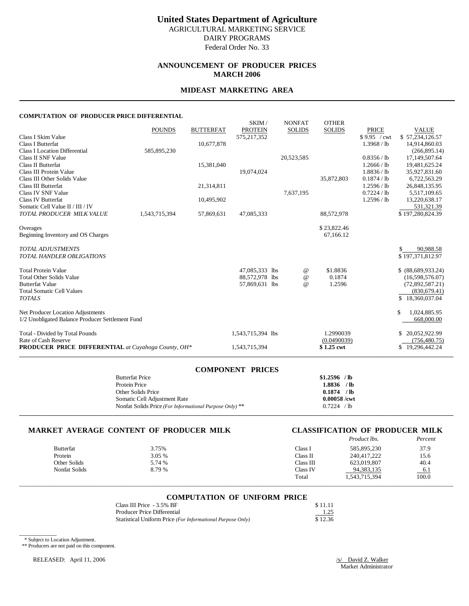Federal Order No. 33

## **ANNOUNCEMENT OF PRODUCER PRICES MARCH 2006**

#### **MIDEAST MARKETING AREA**

#### **COMPUTATION OF PRODUCER PRICE DIFFERENTIAL**

|                                                            | <b>POUNDS</b> | <b>BUTTERFAT</b> | SKIM/<br><b>PROTEIN</b> | <b>NONFAT</b><br><b>SOLIDS</b> | <b>OTHER</b><br><b>SOLIDS</b> | <b>PRICE</b>  | <b>VALUE</b>        |
|------------------------------------------------------------|---------------|------------------|-------------------------|--------------------------------|-------------------------------|---------------|---------------------|
| Class I Skim Value                                         |               |                  | 575, 217, 352           |                                |                               | \$9.95 / cwt  | \$57,234,126.57     |
| <b>Class I Butterfat</b>                                   |               | 10,677,878       |                         |                                |                               | 1.3968 / lb   | 14,914,860.03       |
| <b>Class I Location Differential</b>                       | 585,895,230   |                  |                         |                                |                               |               | (266, 895.14)       |
| Class II SNF Value                                         |               |                  |                         | 20,523,585                     |                               | 0.8356 / lb   | 17,149,507.64       |
| Class II Butterfat                                         |               | 15,381,040       |                         |                                |                               | 1.2666 / lb   | 19,481,625.24       |
| Class III Protein Value                                    |               |                  | 19,074,024              |                                |                               | 1.8836 / lb   | 35,927,831.60       |
| Class III Other Solids Value                               |               |                  |                         |                                | 35,872,803                    | 0.1874 / lb   | 6,722,563.29        |
| <b>Class III Butterfat</b>                                 |               | 21,314,811       |                         |                                |                               | 1.2596 / lb   | 26,848,135.95       |
| Class IV SNF Value                                         |               |                  |                         | 7,637,195                      |                               | $0.7224$ / lb | 5,517,109.65        |
| <b>Class IV Butterfat</b>                                  |               | 10,495,902       |                         |                                |                               | 1.2596 / lb   | 13,220,638.17       |
| Somatic Cell Value II / III / IV                           |               |                  |                         |                                |                               |               | 531,321.39          |
| TOTAL PRODUCER MILK VALUE                                  | 1,543,715,394 | 57,869,631       | 47,085,333              |                                | 88,572,978                    |               | \$197,280,824.39    |
| Overages                                                   |               |                  |                         |                                | \$23,822.46                   |               |                     |
| Beginning Inventory and OS Charges                         |               |                  |                         |                                | 67,166.12                     |               |                     |
|                                                            |               |                  |                         |                                |                               |               |                     |
| <b>TOTAL ADJUSTMENTS</b>                                   |               |                  |                         |                                |                               |               | 90,988.58           |
| <b>TOTAL HANDLER OBLIGATIONS</b>                           |               |                  |                         |                                |                               |               | \$197,371,812.97    |
| <b>Total Protein Value</b>                                 |               |                  | 47,085,333 lbs          | $^{\,a}$                       | \$1.8836                      |               | \$ (88,689,933.24)  |
| <b>Total Other Solids Value</b>                            |               |                  | 88,572,978 lbs          | $^{\copyright}$                | 0.1874                        |               | (16,598,576.07)     |
| <b>Butterfat Value</b>                                     |               |                  | 57,869,631 lbs          | $^{\omega}{}$                  | 1.2596                        |               | (72,892,587.21)     |
| <b>Total Somatic Cell Values</b>                           |               |                  |                         |                                |                               |               | (830, 679.41)       |
| <b>TOTALS</b>                                              |               |                  |                         |                                |                               |               | \$18,360,037.04     |
| Net Producer Location Adjustments                          |               |                  |                         |                                |                               |               | \$.<br>1,024,885.95 |
| 1/2 Unobligated Balance Producer Settlement Fund           |               |                  |                         |                                |                               |               | 668,000.00          |
| Total - Divided by Total Pounds                            |               |                  | 1,543,715,394 lbs       |                                | 1.2990039                     |               | 20,052,922.99       |
| Rate of Cash Reserve                                       |               |                  |                         |                                | (0.0490039)                   |               | (756, 480, 75)      |
| <b>PRODUCER PRICE DIFFERENTIAL</b> at Cuyahoga County, OH* |               |                  | 1,543,715,394           |                                | \$1.25 cwt                    |               | \$19,296,442.24     |
|                                                            |               |                  |                         |                                |                               |               |                     |

| <b>COMPONENT PRICES</b>                                 |                |
|---------------------------------------------------------|----------------|
| <b>Butterfat Price</b>                                  | $$1.2596$ /lb  |
| Protein Price                                           | $1.8836$ /lb   |
| Other Solids Price                                      | $0.1874$ /lb   |
| Somatic Cell Adjustment Rate                            | $0.00058$ /cwt |
| Nonfat Solids Price (For Informational Purpose Only) ** | 0.7224 / lb    |
|                                                         |                |

#### **MARKET AVERAGE CONTENT OF PRODUCER MILK CLASSIFICATION OF PRODUCER MILK**

# *Product lbs. Percent*

|                      |        |           | .             |        |
|----------------------|--------|-----------|---------------|--------|
| <b>Butterfat</b>     | 3.75%  | Class 1   | 585.895.230   | 37.9   |
| Protein              | 3.05 % | Class II  | 240.417.222   | 15.6   |
| Other Solids         | 5.74 % | Class III | 623.019.807   | 40.4   |
| <b>Nonfat Solids</b> | 8.79 % | Class IV  | 94.383.135    | $-6.1$ |
|                      |        | Total     | 1,543,715,394 | 100.0  |
|                      |        |           |               |        |

# \_\_\_\_\_\_\_\_\_\_\_\_\_\_\_\_\_\_\_\_\_\_\_\_\_\_\_\_\_\_\_\_\_\_\_\_\_\_\_\_\_\_\_\_\_\_\_\_\_\_\_\_\_\_\_\_\_\_\_\_\_\_\_\_\_\_\_\_\_\_\_\_\_\_\_\_\_\_\_\_\_\_\_\_\_\_\_\_\_\_\_\_\_\_\_\_\_\_\_\_\_\_\_\_\_\_\_\_\_\_\_\_\_\_\_\_\_\_\_\_\_\_\_\_\_\_\_\_\_\_\_\_\_\_\_\_\_\_\_ **COMPUTATION OF UNIFORM PRICE**

| Class III Price - 3.5% BF                                  | \$11.11 |
|------------------------------------------------------------|---------|
| Producer Price Differential                                | 1.25    |
| Statistical Uniform Price (For Informational Purpose Only) | \$12.36 |

\* Subject to Location Adjustment.

\_\_\_\_\_\_\_\_\_\_\_\_

\*\* Producers are not paid on this component.

RELEASED: April 11, 2006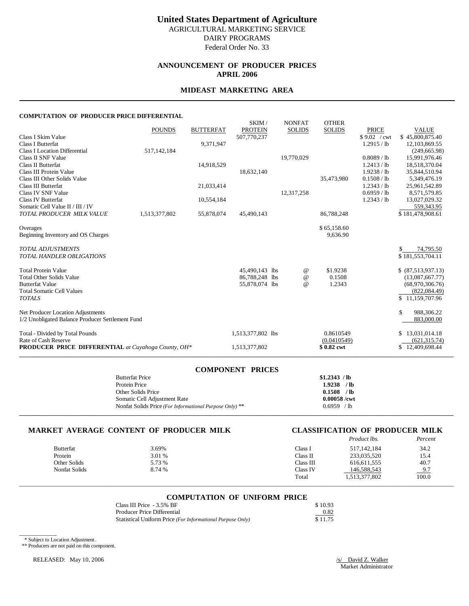# **United States Department of Agriculture** AGRICULTURAL MARKETING SERVICE

DAIRY PROGRAMS Federal Order No. 33

### **ANNOUNCEMENT OF PRODUCER PRICES APRIL 2006**

#### **MIDEAST MARKETING AREA**

#### **COMPUTATION OF PRODUCER PRICE DIFFERENTIAL**

|                                                            | <b>POUNDS</b> | <b>BUTTERFAT</b> | SKIM/<br><b>PROTEIN</b> | <b>NONFAT</b><br><b>SOLIDS</b> | <b>OTHER</b><br><b>SOLIDS</b> | <b>PRICE</b>  | <b>VALUE</b>        |
|------------------------------------------------------------|---------------|------------------|-------------------------|--------------------------------|-------------------------------|---------------|---------------------|
| Class I Skim Value                                         |               |                  | 507,770,237             |                                |                               | \$9.02 / cwt  | \$45,800,875.40     |
| <b>Class I Butterfat</b>                                   |               | 9,371,947        |                         |                                |                               | 1.2915 / lb   | 12,103,869.55       |
| <b>Class I Location Differential</b>                       | 517,142,184   |                  |                         |                                |                               |               | (249, 665.98)       |
| Class II SNF Value                                         |               |                  |                         | 19,770,029                     |                               | 0.8089 / lb   | 15,991,976.46       |
| Class II Butterfat                                         |               | 14,918,529       |                         |                                |                               | 1.2413 / lb   | 18,518,370.04       |
| Class III Protein Value                                    |               |                  | 18,632,140              |                                |                               | 1.9238 / lb   | 35,844,510.94       |
| Class III Other Solids Value                               |               |                  |                         |                                | 35,473,980                    | 0.1508 / lb   | 5,349,476.19        |
| <b>Class III Butterfat</b>                                 |               | 21,033,414       |                         |                                |                               | 1.2343 / lb   | 25,961,542.89       |
| Class IV SNF Value                                         |               |                  |                         | 12,317,258                     |                               | $0.6959$ / lb | 8,571,579.85        |
| <b>Class IV Butterfat</b>                                  |               | 10,554,184       |                         |                                |                               | 1.2343 / lb   | 13,027,029.32       |
| Somatic Cell Value II / III / IV                           |               |                  |                         |                                |                               |               | 559,343.95          |
| TOTAL PRODUCER MILK VALUE                                  | 1,513,377,802 | 55,878,074       | 45,490,143              |                                | 86,788,248                    |               | \$181,478,908.61    |
| Overages                                                   |               |                  |                         |                                | \$65,158.60                   |               |                     |
| Beginning Inventory and OS Charges                         |               |                  |                         |                                | 9,636.90                      |               |                     |
| <b>TOTAL ADJUSTMENTS</b>                                   |               |                  |                         |                                |                               |               | 74,795.50           |
| <b>TOTAL HANDLER OBLIGATIONS</b>                           |               |                  |                         |                                |                               |               | \$181,553,704.11    |
| <b>Total Protein Value</b>                                 |               |                  | 45,490,143 lbs          | $^{\,a}$                       | \$1.9238                      |               | \$ (87,513,937.13)  |
| <b>Total Other Solids Value</b>                            |               |                  | 86,788,248 lbs          | $^{\copyright}$                | 0.1508                        |               | (13,087,667.77)     |
| <b>Butterfat Value</b>                                     |               |                  | 55,878,074 lbs          | $^{\omega}{}$                  | 1.2343                        |               | (68,970,306.76)     |
| <b>Total Somatic Cell Values</b>                           |               |                  |                         |                                |                               |               | (822, 084.49)       |
| <b>TOTALS</b>                                              |               |                  |                         |                                |                               |               | \$11,159,707.96     |
| Net Producer Location Adjustments                          |               |                  |                         |                                |                               |               | \$.<br>988,306.22   |
| 1/2 Unobligated Balance Producer Settlement Fund           |               |                  |                         |                                |                               |               | 883,000.00          |
| Total - Divided by Total Pounds                            |               |                  | 1,513,377,802 lbs       |                                | 0.8610549                     |               | 13,031,014.18<br>S. |
| Rate of Cash Reserve                                       |               |                  |                         |                                | (0.0410549)                   |               | (621, 315, 74)      |
| <b>PRODUCER PRICE DIFFERENTIAL</b> at Cuyahoga County, OH* |               |                  | 1,513,377,802           |                                | \$0.82 cwt                    |               | \$12,409,698.44     |
|                                                            |               |                  |                         |                                |                               |               |                     |

| <b>COMPONENT PRICES</b>                                 |                |
|---------------------------------------------------------|----------------|
| <b>Butterfat Price</b>                                  | \$1.2343 / lb  |
| Protein Price                                           | $1.9238$ /lb   |
| Other Solids Price                                      | $0.1508$ /lb   |
| Somatic Cell Adjustment Rate                            | $0.00058$ /cwt |
| Nonfat Solids Price (For Informational Purpose Only) ** | $0.6959$ /lb   |
|                                                         |                |

#### **MARKET AVERAGE CONTENT OF PRODUCER MILK CLASSIFICATION OF PRODUCER MILK**

|                  |        |           | Product lbs.  | Percent |
|------------------|--------|-----------|---------------|---------|
| <b>Butterfat</b> | 3.69%  | Class I   | 517.142.184   | 34.2    |
| Protein          | 3.01 % | Class II  | 233,035,520   | 15.4    |
| Other Solids     | 5.73 % | Class III | 616.611.555   | 40.7    |
| Nonfat Solids    | 8.74 % | Class IV  | 146,588,543   | 9.7     |
|                  |        | Total     | 1,513,377,802 | 100.0   |

# \_\_\_\_\_\_\_\_\_\_\_\_\_\_\_\_\_\_\_\_\_\_\_\_\_\_\_\_\_\_\_\_\_\_\_\_\_\_\_\_\_\_\_\_\_\_\_\_\_\_\_\_\_\_\_\_\_\_\_\_\_\_\_\_\_\_\_\_\_\_\_\_\_\_\_\_\_\_\_\_\_\_\_\_\_\_\_\_\_\_\_\_\_\_\_\_\_\_\_\_\_\_\_\_\_\_\_\_\_\_\_\_\_\_\_\_\_\_\_\_\_\_\_\_\_\_\_\_\_\_\_\_\_\_\_\_\_\_\_ **COMPUTATION OF UNIFORM PRICE**

| Class III Price - 3.5% BF                                  | \$10.93 |
|------------------------------------------------------------|---------|
| Producer Price Differential                                | 0.82    |
| Statistical Uniform Price (For Informational Purpose Only) | \$11.75 |

\* Subject to Location Adjustment.

\_\_\_\_\_\_\_\_\_\_\_\_

\*\* Producers are not paid on this component.

RELEASED: May 10, 2006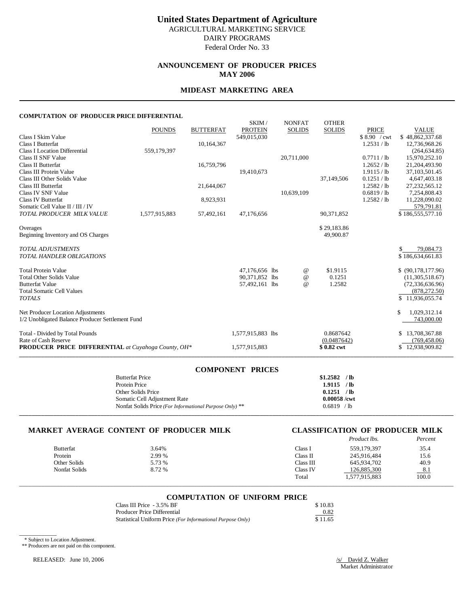# **United States Department of Agriculture**

AGRICULTURAL MARKETING SERVICE DAIRY PROGRAMS

Federal Order No. 33

#### **ANNOUNCEMENT OF PRODUCER PRICES MAY 2006**

#### **MIDEAST MARKETING AREA**

#### **COMPUTATION OF PRODUCER PRICE DIFFERENTIAL**

|                                                     | <b>POUNDS</b> | <b>BUTTERFAT</b> | SKIM/<br><b>PROTEIN</b> | <b>NONFAT</b><br><b>SOLIDS</b> | <b>OTHER</b><br><b>SOLIDS</b> | <b>PRICE</b> | <b>VALUE</b>        |
|-----------------------------------------------------|---------------|------------------|-------------------------|--------------------------------|-------------------------------|--------------|---------------------|
| Class I Skim Value                                  |               |                  | 549,015,030             |                                |                               | \$8.90 / cwt | \$48,862,337.68     |
| <b>Class I Butterfat</b>                            |               | 10,164,367       |                         |                                |                               | 1.2531 / lb  | 12,736,968.26       |
| <b>Class I Location Differential</b>                | 559,179,397   |                  |                         |                                |                               |              | (264, 634.85)       |
| Class II SNF Value                                  |               |                  |                         | 20,711,000                     |                               | 0.7711 / lb  | 15,970,252.10       |
| Class II Butterfat                                  |               | 16,759,796       |                         |                                |                               | 1.2652 / lb  | 21,204,493.90       |
| Class III Protein Value                             |               |                  | 19,410,673              |                                |                               | 1.9115 / lb  | 37,103,501.45       |
| Class III Other Solids Value                        |               |                  |                         |                                | 37,149,506                    | 0.1251 / lb  | 4,647,403.18        |
| Class III Butterfat                                 |               | 21,644,067       |                         |                                |                               | 1.2582 / lb  | 27, 232, 565. 12    |
| Class IV SNF Value                                  |               |                  |                         | 10,639,109                     |                               | 0.6819 / lb  | 7,254,808.43        |
| Class IV Butterfat                                  |               | 8,923,931        |                         |                                |                               | 1.2582 / lb  | 11,228,090.02       |
| Somatic Cell Value II / III / IV                    |               |                  |                         |                                |                               |              | 579,791.81          |
| TOTAL PRODUCER MILK VALUE                           | 1,577,915,883 | 57,492,161       | 47,176,656              |                                | 90,371,852                    |              | \$186,555,577.10    |
| Overages                                            |               |                  |                         |                                | \$29,183.86                   |              |                     |
| Beginning Inventory and OS Charges                  |               |                  |                         |                                | 49,900.87                     |              |                     |
|                                                     |               |                  |                         |                                |                               |              |                     |
| <b>TOTAL ADJUSTMENTS</b>                            |               |                  |                         |                                |                               |              | 79,084.73           |
| <b>TOTAL HANDLER OBLIGATIONS</b>                    |               |                  |                         |                                |                               |              | \$186,634,661.83    |
| <b>Total Protein Value</b>                          |               |                  | 47,176,656 lbs          | $^{\,a}$                       | \$1.9115                      |              | \$ (90,178,177.96)  |
| <b>Total Other Solids Value</b>                     |               |                  | 90,371,852 lbs          | $^{\circ}$                     | 0.1251                        |              | (11,305,518.67)     |
| <b>Butterfat Value</b>                              |               |                  | 57,492,161 lbs          | $^{\omega}{}$                  | 1.2582                        |              | (72, 336, 636.96)   |
| <b>Total Somatic Cell Values</b>                    |               |                  |                         |                                |                               |              | (878, 272.50)       |
| <b>TOTALS</b>                                       |               |                  |                         |                                |                               |              | \$11,936,055.74     |
| Net Producer Location Adjustments                   |               |                  |                         |                                |                               |              | \$<br>1,029,312.14  |
| 1/2 Unobligated Balance Producer Settlement Fund    |               |                  |                         |                                |                               |              | 743,000.00          |
| Total - Divided by Total Pounds                     |               |                  | 1,577,915,883 lbs       |                                | 0.8687642                     |              | 13,708,367.88<br>S. |
| Rate of Cash Reserve                                |               |                  |                         |                                | (0.0487642)                   |              | (769, 458.06)       |
| PRODUCER PRICE DIFFERENTIAL at Cuyahoga County, OH* |               |                  | 1,577,915,883           |                                | \$0.82 cwt                    |              | \$12,938,909.82     |
|                                                     |               |                  |                         |                                |                               |              |                     |

| <b>COMPONENT PRICES</b>                                            |                |
|--------------------------------------------------------------------|----------------|
| <b>Butterfat Price</b>                                             | $$1.2582$ /lb  |
| Protein Price                                                      | $1.9115$ /lb   |
| Other Solids Price                                                 | 0.1251 / lb    |
| Somatic Cell Adjustment Rate                                       | $0.00058$ /cwt |
| Nonfat Solids Price (For Informational Purpose Only) <sup>**</sup> | $0.6819$ /lb   |
|                                                                    |                |

#### **MARKET AVERAGE CONTENT OF PRODUCER MILK CLASSIFICATION OF PRODUCER MILK**

|                  |        |           | Product lbs.  | Percent |
|------------------|--------|-----------|---------------|---------|
| <b>Butterfat</b> | 3.64%  | Class 1   | 559,179,397   | 35.4    |
| Protein          | 2.99 % | Class II  | 245,916,484   | 15.6    |
| Other Solids     | 5.73 % | Class III | 645.934.702   | 40.9    |
| Nonfat Solids    | 8.72 % | Class IV  | 126,885,300   | 8.1     |
|                  |        | Total     | 1,577,915,883 | 100.0   |

# \_\_\_\_\_\_\_\_\_\_\_\_\_\_\_\_\_\_\_\_\_\_\_\_\_\_\_\_\_\_\_\_\_\_\_\_\_\_\_\_\_\_\_\_\_\_\_\_\_\_\_\_\_\_\_\_\_\_\_\_\_\_\_\_\_\_\_\_\_\_\_\_\_\_\_\_\_\_\_\_\_\_\_\_\_\_\_\_\_\_\_\_\_\_\_\_\_\_\_\_\_\_\_\_\_\_\_\_\_\_\_\_\_\_\_\_\_\_\_\_\_\_\_\_\_\_\_\_\_\_\_\_\_\_\_\_\_\_\_ **COMPUTATION OF UNIFORM PRICE**

| Class III Price - 3.5% BF                                  | \$10.83 |
|------------------------------------------------------------|---------|
| Producer Price Differential                                | 0.82    |
| Statistical Uniform Price (For Informational Purpose Only) | \$11.65 |

\* Subject to Location Adjustment.

\_\_\_\_\_\_\_\_\_\_\_\_

\*\* Producers are not paid on this component.

RELEASED: June 10, 2006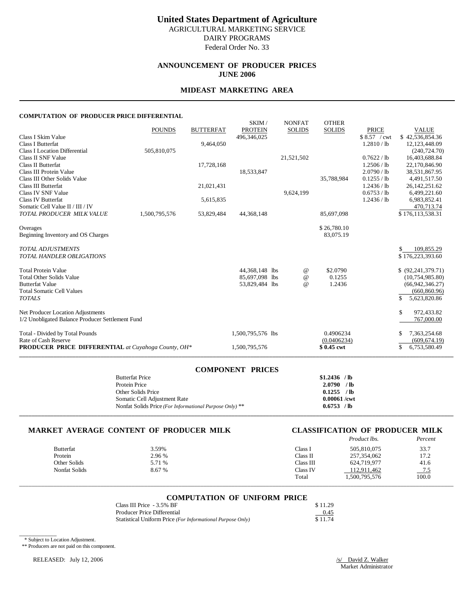## **United States Department of Agriculture** AGRICULTURAL MARKETING SERVICE

DAIRY PROGRAMS

Federal Order No. 33

## **ANNOUNCEMENT OF PRODUCER PRICES JUNE 2006**

## **MIDEAST MARKETING AREA**

#### **COMPUTATION OF PRODUCER PRICE DIFFERENTIAL**

|                                                            |               |                  | SKIM/             | <b>NONFAT</b> | <b>OTHER</b>             |              |                      |  |
|------------------------------------------------------------|---------------|------------------|-------------------|---------------|--------------------------|--------------|----------------------|--|
|                                                            | <b>POUNDS</b> | <b>BUTTERFAT</b> | <b>PROTEIN</b>    | <b>SOLIDS</b> | <b>SOLIDS</b>            | <b>PRICE</b> | <b>VALUE</b>         |  |
| Class I Skim Value                                         |               |                  | 496,346,025       |               |                          | \$8.57 / cwt | \$42,536,854.36      |  |
| <b>Class I Butterfat</b>                                   |               | 9,464,050        |                   |               |                          | 1.2810 / lb  | 12,123,448.09        |  |
| <b>Class I Location Differential</b>                       | 505,810,075   |                  |                   |               |                          |              | (240, 724, 70)       |  |
| Class II SNF Value                                         |               |                  |                   | 21,521,502    |                          | 0.7622 / lb  | 16,403,688.84        |  |
| Class II Butterfat                                         |               | 17,728,168       |                   |               |                          | 1.2506 / lb  | 22,170,846.90        |  |
| Class III Protein Value                                    |               |                  | 18,533,847        |               |                          | 2.0790 / lb  | 38,531,867.95        |  |
| Class III Other Solids Value                               |               |                  |                   |               | 35,788,984               | 0.1255 / lb  | 4,491,517.50         |  |
| <b>Class III Butterfat</b>                                 |               | 21,021,431       |                   |               |                          | 1.2436 / lb  | 26, 142, 251.62      |  |
| Class IV SNF Value                                         |               |                  |                   | 9,624,199     |                          | 0.6753 / lb  | 6,499,221.60         |  |
| <b>Class IV Butterfat</b>                                  |               | 5,615,835        |                   |               |                          | 1.2436 / lb  | 6,983,852.41         |  |
| Somatic Cell Value II / III / IV                           |               |                  |                   |               |                          |              | 470,713.74           |  |
| TOTAL PRODUCER MILK VALUE                                  | 1,500,795,576 | 53,829,484       | 44, 368, 148      |               | 85,697,098               |              | \$176,113,538.31     |  |
|                                                            |               |                  |                   |               | \$26,780.10              |              |                      |  |
| Overages<br>Beginning Inventory and OS Charges             |               |                  |                   |               | 83,075.19                |              |                      |  |
|                                                            |               |                  |                   |               |                          |              |                      |  |
| <b>TOTAL ADJUSTMENTS</b>                                   |               |                  |                   |               |                          |              | 109,855.29           |  |
| TOTAL HANDLER OBLIGATIONS                                  |               |                  |                   |               |                          |              | \$176,223,393.60     |  |
|                                                            |               |                  |                   |               |                          |              |                      |  |
| <b>Total Protein Value</b>                                 |               |                  | 44,368,148 lbs    | $^{\,a}$      | \$2.0790                 |              | \$ (92, 241, 379.71) |  |
| <b>Total Other Solids Value</b>                            |               |                  | 85,697,098 lbs    | $^{\circ}$    | 0.1255                   |              | (10,754,985.80)      |  |
| <b>Butterfat Value</b>                                     |               |                  | 53,829,484 lbs    | $^{\omega}{}$ | 1.2436                   |              | (66, 942, 346.27)    |  |
| <b>Total Somatic Cell Values</b>                           |               |                  |                   |               |                          |              | (660, 860.96)        |  |
| <b>TOTALS</b>                                              |               |                  |                   |               |                          |              | \$.<br>5,623,820.86  |  |
|                                                            |               |                  |                   |               |                          |              |                      |  |
| Net Producer Location Adjustments                          |               |                  |                   |               |                          |              | \$<br>972,433.82     |  |
| 1/2 Unobligated Balance Producer Settlement Fund           |               |                  |                   |               |                          |              | 767,000.00           |  |
|                                                            |               |                  |                   |               |                          |              | 7,363,254.68         |  |
| Rate of Cash Reserve                                       |               |                  |                   |               |                          |              | (609, 674.19)        |  |
| <b>PRODUCER PRICE DIFFERENTIAL</b> at Cuyahoga County, OH* |               |                  | 1,500,795,576     |               | \$0.45 cwt               |              | \$<br>6,753,580.49   |  |
| Total - Divided by Total Pounds                            |               |                  | 1,500,795,576 lbs |               | 0.4906234<br>(0.0406234) |              |                      |  |

| <b>COMPONENT PRICES</b>                                            |                |
|--------------------------------------------------------------------|----------------|
| <b>Butterfat Price</b>                                             | $$1.2436$ /lb  |
| Protein Price                                                      | $2.0790$ /lb   |
| Other Solids Price                                                 | $0.1255$ /lb   |
| Somatic Cell Adjustment Rate                                       | $0.00061$ /cwt |
| Nonfat Solids Price (For Informational Purpose Only) <sup>**</sup> | $0.6753$ /lb   |
|                                                                    |                |

#### **MARKET AVERAGE CONTENT OF PRODUCER MILK CLASSIFICATION OF PRODUCER MILK**

# *Product lbs. Percent*

|               |        |           | .             |       |
|---------------|--------|-----------|---------------|-------|
| Butterfat     | 3.59%  | Class l   | 505.810.075   | 33.7  |
| Protein       | 2.96 % | Class II  | 257, 354, 062 | 17.2  |
| Other Solids  | 5.71 % | Class III | 624,719,977   | 41.6  |
| Nonfat Solids | 8.67%  | Class IV  | 112.911.462   | 75    |
|               |        | Total     | 1,500,795,576 | 100.0 |
|               |        |           |               |       |

# \_\_\_\_\_\_\_\_\_\_\_\_\_\_\_\_\_\_\_\_\_\_\_\_\_\_\_\_\_\_\_\_\_\_\_\_\_\_\_\_\_\_\_\_\_\_\_\_\_\_\_\_\_\_\_\_\_\_\_\_\_\_\_\_\_\_\_\_\_\_\_\_\_\_\_\_\_\_\_\_\_\_\_\_\_\_\_\_\_\_\_\_\_\_\_\_\_\_\_\_\_\_\_\_\_\_\_\_\_\_\_\_\_\_\_\_\_\_\_\_\_\_\_\_\_\_\_\_\_\_\_\_\_\_\_\_\_\_\_ **COMPUTATION OF UNIFORM PRICE**

| Class III Price - 3.5% BF                                  | \$11.29 |
|------------------------------------------------------------|---------|
| Producer Price Differential                                | 0.45    |
| Statistical Uniform Price (For Informational Purpose Only) | \$11.74 |

\* Subject to Location Adjustment.

\_\_\_\_\_\_\_\_\_\_\_\_

\*\* Producers are not paid on this component.

RELEASED: July 12, 2006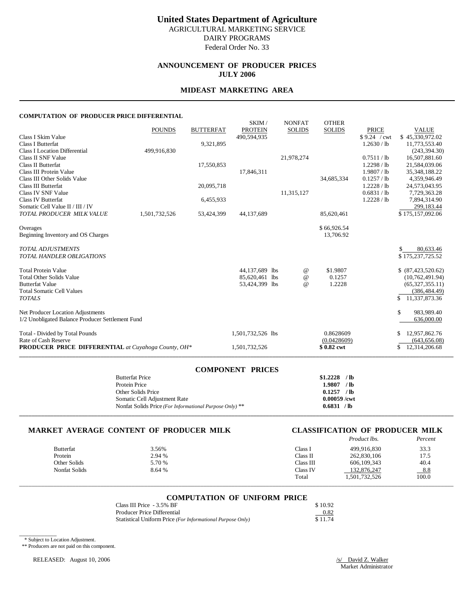# **United States Department of Agriculture**

AGRICULTURAL MARKETING SERVICE DAIRY PROGRAMS

Federal Order No. 33

## **ANNOUNCEMENT OF PRODUCER PRICES JULY 2006**

## **MIDEAST MARKETING AREA**

#### **COMPUTATION OF PRODUCER PRICE DIFFERENTIAL**

|                                                            | <b>POUNDS</b> | <b>BUTTERFAT</b> | SKIM/<br><b>PROTEIN</b> | <b>NONFAT</b><br><b>SOLIDS</b> | <b>OTHER</b><br><b>SOLIDS</b> | <b>PRICE</b>  | <b>VALUE</b>        |
|------------------------------------------------------------|---------------|------------------|-------------------------|--------------------------------|-------------------------------|---------------|---------------------|
| Class I Skim Value                                         |               |                  | 490.594.935             |                                |                               | \$9.24 / cwt  | \$45,330,972.02     |
| <b>Class I Butterfat</b>                                   |               | 9,321,895        |                         |                                |                               | 1.2630 / lb   | 11,773,553.40       |
| <b>Class I Location Differential</b>                       | 499,916,830   |                  |                         |                                |                               |               | (243, 394, 30)      |
| Class II SNF Value                                         |               |                  |                         | 21,978,274                     |                               | 0.7511 / lb   | 16,507,881.60       |
| Class II Butterfat                                         |               | 17,550,853       |                         |                                |                               | 1.2298 / lb   | 21,584,039.06       |
| Class III Protein Value                                    |               |                  | 17,846,311              |                                |                               | 1.9807 / lb   | 35, 348, 188. 22    |
| Class III Other Solids Value                               |               |                  |                         |                                | 34,685,334                    | 0.1257 / lb   | 4,359,946.49        |
| <b>Class III Butterfat</b>                                 |               | 20,095,718       |                         |                                |                               | $1.2228$ / lb | 24,573,043.95       |
| Class IV SNF Value                                         |               |                  |                         | 11,315,127                     |                               | 0.6831 / lb   | 7,729,363.28        |
| <b>Class IV Butterfat</b>                                  |               | 6,455,933        |                         |                                |                               | $1.2228$ / lb | 7,894,314.90        |
| Somatic Cell Value II / III / IV                           |               |                  |                         |                                |                               |               | 299,183.44          |
| TOTAL PRODUCER MILK VALUE                                  | 1,501,732,526 | 53,424,399       | 44,137,689              |                                | 85,620,461                    |               | \$175,157,092.06    |
| Overages                                                   |               |                  |                         |                                | \$66,926.54                   |               |                     |
| Beginning Inventory and OS Charges                         |               |                  |                         |                                | 13,706.92                     |               |                     |
| <b>TOTAL ADJUSTMENTS</b>                                   |               |                  |                         |                                |                               |               | 80,633.46           |
| <b>TOTAL HANDLER OBLIGATIONS</b>                           |               |                  |                         |                                |                               |               | \$175,237,725.52    |
| <b>Total Protein Value</b>                                 |               |                  | 44,137,689 lbs          | $^{\,a}$                       | \$1.9807                      |               | \$ (87,423,520.62)  |
| <b>Total Other Solids Value</b>                            |               |                  | 85,620,461 lbs          | $^{\copyright}$                | 0.1257                        |               | (10, 762, 491.94)   |
| <b>Butterfat Value</b>                                     |               |                  | 53,424,399 lbs          | $^{\omega}{}$                  | 1.2228                        |               | (65, 327, 355, 11)  |
| <b>Total Somatic Cell Values</b>                           |               |                  |                         |                                |                               |               | (386, 484, 49)      |
| <b>TOTALS</b>                                              |               |                  |                         |                                |                               |               | \$<br>11,337,873.36 |
| Net Producer Location Adjustments                          |               |                  |                         |                                |                               |               | \$<br>983,989.40    |
| 1/2 Unobligated Balance Producer Settlement Fund           |               |                  |                         |                                |                               |               | 636,000.00          |
| Total - Divided by Total Pounds                            |               |                  | 1,501,732,526 lbs       |                                | 0.8628609                     |               | 12,957,862.76<br>S  |
| Rate of Cash Reserve                                       |               |                  |                         |                                | (0.0428609)                   |               | (643, 656.08)       |
| <b>PRODUCER PRICE DIFFERENTIAL</b> at Cuyahoga County, OH* |               |                  | 1,501,732,526           |                                | \$0.82 cwt                    |               | 12,314,206.68<br>\$ |
|                                                            |               |                  |                         |                                |                               |               |                     |

| <b>COMPONENT PRICES</b>                                 |                |
|---------------------------------------------------------|----------------|
| <b>Butterfat Price</b>                                  | $$1,2228$ /lb  |
| Protein Price                                           | 1.9807 / lb    |
| Other Solids Price                                      | $0.1257$ /lb   |
| Somatic Cell Adjustment Rate                            | $0.00059$ /cwt |
| Nonfat Solids Price (For Informational Purpose Only) ** | 0.6831 / lb    |
|                                                         |                |

#### **MARKET AVERAGE CONTENT OF PRODUCER MILK CLASSIFICATION OF PRODUCER MILK**

# *Product lbs. Percent*

|                  |        |           | .             |       |
|------------------|--------|-----------|---------------|-------|
| <b>Butterfat</b> | 3.56%  | Class .   | 499.916.830   | 33.3  |
| Protein          | 2.94 % | Class II  | 262,830,106   | 17.5  |
| Other Solids     | 5.70 % | Class III | 606.109.343   | 40.4  |
| Nonfat Solids    | 8.64 % | Class IV  | 132.876.247   | 8.8   |
|                  |        | Total     | 1.501.732.526 | 100.0 |
|                  |        |           |               |       |

# \_\_\_\_\_\_\_\_\_\_\_\_\_\_\_\_\_\_\_\_\_\_\_\_\_\_\_\_\_\_\_\_\_\_\_\_\_\_\_\_\_\_\_\_\_\_\_\_\_\_\_\_\_\_\_\_\_\_\_\_\_\_\_\_\_\_\_\_\_\_\_\_\_\_\_\_\_\_\_\_\_\_\_\_\_\_\_\_\_\_\_\_\_\_\_\_\_\_\_\_\_\_\_\_\_\_\_\_\_\_\_\_\_\_\_\_\_\_\_\_\_\_\_\_\_\_\_\_\_\_\_\_\_\_\_\_\_\_\_ **COMPUTATION OF UNIFORM PRICE**

| Class III Price - 3.5% BF                                  | \$10.92 |
|------------------------------------------------------------|---------|
| Producer Price Differential                                | 0.82    |
| Statistical Uniform Price (For Informational Purpose Only) | \$11.74 |

\* Subject to Location Adjustment.

\_\_\_\_\_\_\_\_\_\_\_\_

\*\* Producers are not paid on this component.

RELEASED: August 10, 2006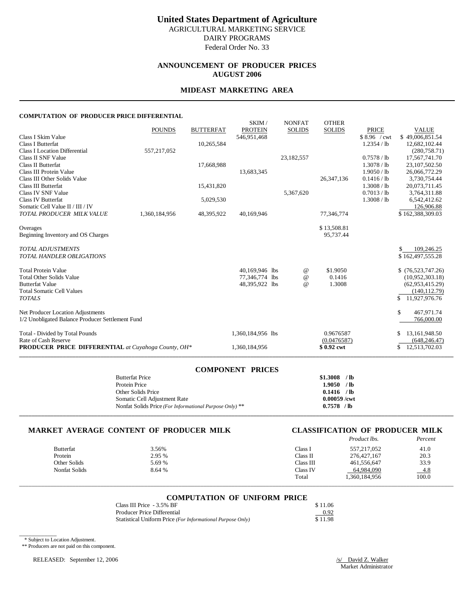### **ANNOUNCEMENT OF PRODUCER PRICES AUGUST 2006**

#### **MIDEAST MARKETING AREA**

#### **COMPUTATION OF PRODUCER PRICE DIFFERENTIAL**

|                                                     |               |                  | SKIM/             | <b>NONFAT</b> | <b>OTHER</b>  |               |                      |
|-----------------------------------------------------|---------------|------------------|-------------------|---------------|---------------|---------------|----------------------|
|                                                     | <b>POUNDS</b> | <b>BUTTERFAT</b> | <b>PROTEIN</b>    | <b>SOLIDS</b> | <b>SOLIDS</b> | <b>PRICE</b>  | <b>VALUE</b>         |
| Class I Skim Value                                  |               |                  | 546,951,468       |               |               | \$8.96 / cwt  | \$49,006,851.54      |
| <b>Class I Butterfat</b>                            |               | 10,265,584       |                   |               |               | $1.2354$ / lb | 12,682,102.44        |
| <b>Class I Location Differential</b>                | 557,217,052   |                  |                   |               |               |               | (280, 758.71)        |
| Class II SNF Value                                  |               |                  |                   | 23,182,557    |               | 0.7578 / lb   | 17,567,741.70        |
| <b>Class II Butterfat</b>                           |               | 17,668,988       |                   |               |               | 1.3078 / lb   | 23,107,502.50        |
| Class III Protein Value                             |               |                  | 13,683,345        |               |               | 1.9050 / lb   | 26,066,772.29        |
| Class III Other Solids Value                        |               |                  |                   |               | 26, 347, 136  | 0.1416 / lb   | 3,730,754.44         |
| <b>Class III Butterfat</b>                          |               | 15,431,820       |                   |               |               | 1.3008 / lb   | 20,073,711.45        |
| Class IV SNF Value                                  |               |                  |                   | 5,367,620     |               | 0.7013 / lb   | 3,764,311.88         |
| <b>Class IV Butterfat</b>                           |               | 5,029,530        |                   |               |               | 1.3008 / lb   | 6,542,412.62         |
| Somatic Cell Value II / III / IV                    |               |                  |                   |               |               |               | 126,906.88           |
| TOTAL PRODUCER MILK VALUE                           | 1,360,184,956 | 48,395,922       | 40,169,946        |               | 77,346,774    |               | \$162,388,309.03     |
|                                                     |               |                  |                   |               |               |               |                      |
| Overages                                            |               |                  |                   |               | \$13,508.81   |               |                      |
| Beginning Inventory and OS Charges                  |               |                  |                   |               | 95.737.44     |               |                      |
| <b>TOTAL ADJUSTMENTS</b>                            |               |                  |                   |               |               |               | 109,246.25<br>\$.    |
| <b>TOTAL HANDLER OBLIGATIONS</b>                    |               |                  |                   |               |               |               | \$162,497,555.28     |
|                                                     |               |                  |                   |               |               |               |                      |
| <b>Total Protein Value</b>                          |               |                  | 40,169,946 lbs    | @             | \$1.9050      |               | \$(76,523,747.26)    |
| <b>Total Other Solids Value</b>                     |               |                  | 77,346,774 lbs    | $\omega$      | 0.1416        |               | (10,952,303.18)      |
| <b>Butterfat Value</b>                              |               |                  | 48,395,922 lbs    | $\omega$      | 1.3008        |               | (62,953,415.29)      |
| <b>Total Somatic Cell Values</b>                    |               |                  |                   |               |               |               | (140, 112.79)        |
| <b>TOTALS</b>                                       |               |                  |                   |               |               |               | 11,927,976.76<br>\$. |
|                                                     |               |                  |                   |               |               |               | \$                   |
| Net Producer Location Adjustments                   |               |                  |                   |               |               |               | 467,971.74           |
| 1/2 Unobligated Balance Producer Settlement Fund    |               |                  |                   |               |               |               | 766,000.00           |
| Total - Divided by Total Pounds                     |               |                  | 1,360,184,956 lbs |               | 0.9676587     |               | 13,161,948.50<br>\$  |
| Rate of Cash Reserve                                |               |                  |                   |               | (0.0476587)   |               | (648, 246.47)        |
| PRODUCER PRICE DIFFERENTIAL at Cuyahoga County, OH* |               |                  | 1,360,184,956     |               | \$0.92 cwt    |               | \$<br>12,513,702.03  |
|                                                     |               |                  |                   |               |               |               |                      |

| <b>COMPONENT PRICES</b>                                 |                |
|---------------------------------------------------------|----------------|
| <b>Butterfat Price</b>                                  | $$1.3008$ /lb  |
| Protein Price                                           | $1.9050$ /lb   |
| Other Solids Price                                      | $0.1416$ /lb   |
| Somatic Cell Adjustment Rate                            | $0.00059$ /cwt |
| Nonfat Solids Price (For Informational Purpose Only) ** | $0.7578$ /lb   |
|                                                         |                |

#### **MARKET AVERAGE CONTENT OF PRODUCER MILK CLASSIFICATION OF PRODUCER MILK**

# *Product lbs. Percent*

| <b>Butterfat</b> | 3.56%  | Class 1   | 557, 217, 052 | 41.0   |
|------------------|--------|-----------|---------------|--------|
| Protein          | 2.95 % | Class II  | 276, 427, 167 | 20.3   |
| Other Solids     | 5.69 % | Class III | 461.556.647   | 33.9   |
| Nonfat Solids    | 8.64 % | Class IV  | 64.984.090    | $-4.8$ |
|                  |        | Total     | . 360,184,956 | 100.0  |
|                  |        |           |               |        |

# \_\_\_\_\_\_\_\_\_\_\_\_\_\_\_\_\_\_\_\_\_\_\_\_\_\_\_\_\_\_\_\_\_\_\_\_\_\_\_\_\_\_\_\_\_\_\_\_\_\_\_\_\_\_\_\_\_\_\_\_\_\_\_\_\_\_\_\_\_\_\_\_\_\_\_\_\_\_\_\_\_\_\_\_\_\_\_\_\_\_\_\_\_\_\_\_\_\_\_\_\_\_\_\_\_\_\_\_\_\_\_\_\_\_\_\_\_\_\_\_\_\_\_\_\_\_\_\_\_\_\_\_\_\_\_\_\_\_\_ **COMPUTATION OF UNIFORM PRICE**

| Class III Price - 3.5% BF                                  | \$11.06 |
|------------------------------------------------------------|---------|
| <b>Producer Price Differential</b>                         | 0.92    |
| Statistical Uniform Price (For Informational Purpose Only) | \$11.98 |

\* Subject to Location Adjustment.

\_\_\_\_\_\_\_\_\_\_\_\_

\*\* Producers are not paid on this component.

RELEASED: September 12, 2006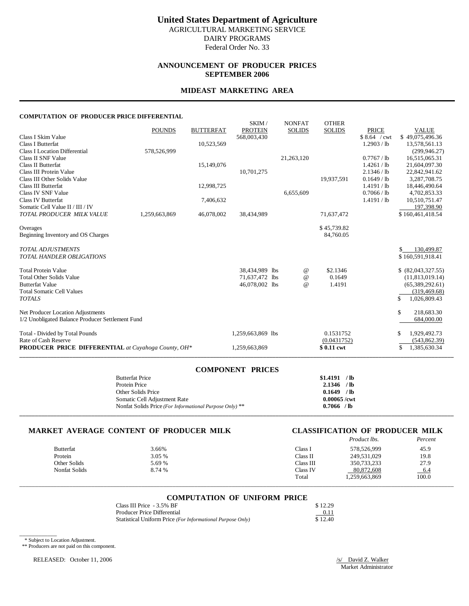Federal Order No. 33

#### **ANNOUNCEMENT OF PRODUCER PRICES SEPTEMBER 2006**

#### **MIDEAST MARKETING AREA**

#### **COMPUTATION OF PRODUCER PRICE DIFFERENTIAL**

| COMI OTATION OF TIWDOCENTINGE DIFFENENTIAE                 |               |                  |                         |                                 |                               |              |                    |
|------------------------------------------------------------|---------------|------------------|-------------------------|---------------------------------|-------------------------------|--------------|--------------------|
|                                                            | <b>POUNDS</b> | <b>BUTTERFAT</b> | SKIM/<br><b>PROTEIN</b> | <b>NONFAT</b><br><b>SOLIDS</b>  | <b>OTHER</b><br><b>SOLIDS</b> | <b>PRICE</b> | <b>VALUE</b>       |
| Class I Skim Value                                         |               |                  | 568,003,430             |                                 |                               | \$8.64 / cwt | \$49,075,496.36    |
| <b>Class I Butterfat</b>                                   |               | 10,523,569       |                         |                                 |                               | 1.2903 / lb  | 13,578,561.13      |
| <b>Class I Location Differential</b>                       | 578,526,999   |                  |                         |                                 |                               |              | (299, 946.27)      |
| Class II SNF Value                                         |               |                  |                         | 21,263,120                      |                               | 0.7767 / lb  | 16,515,065.31      |
| Class II Butterfat                                         |               | 15,149,076       |                         |                                 |                               | 1.4261 / lb  | 21,604,097.30      |
| Class III Protein Value                                    |               |                  | 10,701,275              |                                 |                               | 2.1346 / lb  | 22,842,941.62      |
| Class III Other Solids Value                               |               |                  |                         |                                 | 19,937,591                    | 0.1649 / lb  | 3,287,708.75       |
| <b>Class III Butterfat</b>                                 |               | 12,998,725       |                         |                                 |                               | 1.4191 / lb  | 18,446,490.64      |
| Class IV SNF Value                                         |               |                  |                         | 6,655,609                       |                               | 0.7066 / lb  | 4,702,853.33       |
| Class IV Butterfat                                         |               | 7,406,632        |                         |                                 |                               | 1.4191 / lb  | 10,510,751.47      |
| Somatic Cell Value II / III / IV                           |               |                  |                         |                                 |                               |              | 197,398.90         |
| TOTAL PRODUCER MILK VALUE                                  | 1,259,663,869 | 46,078,002       | 38,434,989              |                                 | 71,637,472                    |              | \$160,461,418.54   |
|                                                            |               |                  |                         |                                 |                               |              |                    |
| Overages                                                   |               |                  |                         |                                 | \$45,739.82                   |              |                    |
| Beginning Inventory and OS Charges                         |               |                  |                         |                                 | 84,760.05                     |              |                    |
| <b>TOTAL ADJUSTMENTS</b>                                   |               |                  |                         |                                 |                               |              | 130,499.87         |
| <b>TOTAL HANDLER OBLIGATIONS</b>                           |               |                  |                         |                                 |                               |              | \$160,591,918.41   |
|                                                            |               |                  |                         |                                 |                               |              |                    |
| <b>Total Protein Value</b>                                 |               |                  | 38,434,989 lbs          | $^{\,a}$                        | \$2.1346                      |              | \$ (82,043,327.55) |
| <b>Total Other Solids Value</b>                            |               |                  | 71,637,472 lbs          | $^{\scriptsize\textregistered}$ | 0.1649                        |              | (11,813,019.14)    |
| <b>Butterfat Value</b>                                     |               |                  | 46,078,002 lbs          | $\omega$                        | 1.4191                        |              | (65,389,292.61)    |
| <b>Total Somatic Cell Values</b>                           |               |                  |                         |                                 |                               |              | (319, 469.68)      |
| <b>TOTALS</b>                                              |               |                  |                         |                                 |                               |              | \$<br>1,026,809.43 |
| Net Producer Location Adjustments                          |               |                  |                         |                                 |                               |              | \$<br>218,683.30   |
| 1/2 Unobligated Balance Producer Settlement Fund           |               |                  |                         |                                 |                               |              | 684,000.00         |
| Total - Divided by Total Pounds                            |               |                  | 1,259,663,869 lbs       |                                 | 0.1531752                     |              | \$<br>1,929,492.73 |
| Rate of Cash Reserve                                       |               |                  |                         |                                 | (0.0431752)                   |              | (543, 862.39)      |
| <b>PRODUCER PRICE DIFFERENTIAL</b> at Cuyahoga County, OH* |               |                  | 1,259,663,869           |                                 | \$0.11 cwt                    |              | \$<br>1,385,630.34 |
|                                                            |               |                  |                         |                                 |                               |              |                    |

| <b>COMPONENT PRICES</b>                                 |                |
|---------------------------------------------------------|----------------|
| <b>Butterfat Price</b>                                  | $$1.4191$ /lb  |
| Protein Price                                           | $2.1346$ /lb   |
| Other Solids Price                                      | $0.1649$ /lb   |
| Somatic Cell Adjustment Rate                            | $0.00065$ /cwt |
| Nonfat Solids Price (For Informational Purpose Only) ** | $0.7066$ /lb   |
|                                                         |                |

#### **MARKET AVERAGE CONTENT OF PRODUCER MILK CLASSIFICATION OF PRODUCER MILK**

|                  |        |           | Product lbs.  | Percent |
|------------------|--------|-----------|---------------|---------|
| <b>Butterfat</b> | 3.66%  | Class l   | 578,526,999   | 45.9    |
| Protein          | 3.05 % | Class II  | 249,531,029   | 19.8    |
| Other Solids     | 5.69 % | Class III | 350,733,233   | 27.9    |
| Nonfat Solids    | 8.74 % | Class IV  | 80,872,608    | $-6.4$  |
|                  |        | Total     | 1.259.663.869 | 100.0   |

\_\_\_\_\_\_\_\_\_\_\_\_\_\_\_\_\_\_\_\_\_\_\_\_\_\_\_\_\_\_\_\_\_\_\_\_\_\_\_\_\_\_\_\_\_\_\_\_\_\_\_\_\_\_\_\_\_\_\_\_\_\_\_\_\_\_\_\_\_\_\_\_\_\_\_\_\_\_\_\_\_\_\_\_\_\_\_\_\_\_\_\_\_\_\_\_\_\_\_\_\_\_\_\_\_\_\_\_\_\_\_\_\_\_\_\_\_\_\_\_\_\_\_\_\_\_\_\_\_\_\_\_\_\_\_\_\_\_\_

#### **COMPUTATION OF UNIFORM PRICE**

| Class III Price - 3.5% BF                                  | \$12.29 |
|------------------------------------------------------------|---------|
| Producer Price Differential                                | 0.11    |
| Statistical Uniform Price (For Informational Purpose Only) | \$12.40 |

\* Subject to Location Adjustment.

\_\_\_\_\_\_\_\_\_\_\_\_

\*\* Producers are not paid on this component.

RELEASED: October 11, 2006 /s/ David Z. Walker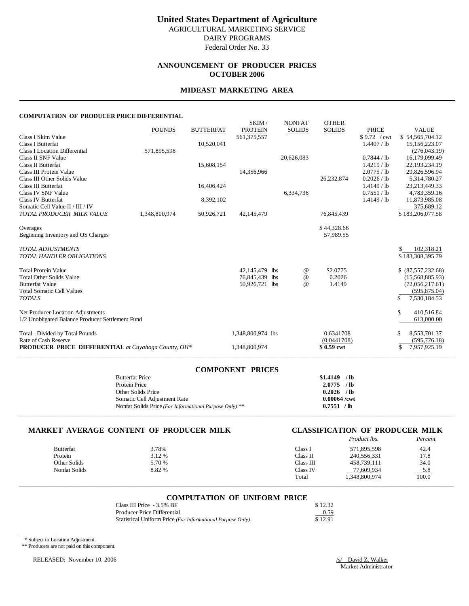### **ANNOUNCEMENT OF PRODUCER PRICES OCTOBER 2006**

#### **MIDEAST MARKETING AREA**

#### **COMPUTATION OF PRODUCER PRICE DIFFERENTIAL**

|                                                     |               |                  | SKIM/             | <b>NONFAT</b> | <b>OTHER</b>  |               |                    |
|-----------------------------------------------------|---------------|------------------|-------------------|---------------|---------------|---------------|--------------------|
|                                                     | <b>POUNDS</b> | <b>BUTTERFAT</b> | <b>PROTEIN</b>    | <b>SOLIDS</b> | <b>SOLIDS</b> | <b>PRICE</b>  | <b>VALUE</b>       |
| Class I Skim Value                                  |               |                  | 561, 375, 557     |               |               | \$9.72 / cwt  | \$54,565,704.12    |
| <b>Class I Butterfat</b>                            |               | 10,520,041       |                   |               |               | 1.4407 / lb   | 15,156,223.07      |
| <b>Class I Location Differential</b>                | 571,895,598   |                  |                   |               |               |               | (276, 043.19)      |
| Class II SNF Value                                  |               |                  |                   | 20,626,083    |               | 0.7844 / lb   | 16,179,099.49      |
| <b>Class II Butterfat</b>                           |               | 15,608,154       |                   |               |               | $1.4219$ / lb | 22,193,234.19      |
| Class III Protein Value                             |               |                  | 14,356,966        |               |               | 2.0775 / lb   | 29,826,596.94      |
| Class III Other Solids Value                        |               |                  |                   |               | 26,232,874    | 0.2026 / lb   | 5,314,780.27       |
| <b>Class III Butterfat</b>                          |               | 16,406,424       |                   |               |               | $1.4149$ / lb | 23,213,449.33      |
| Class IV SNF Value                                  |               |                  |                   | 6,334,736     |               | 0.7551 / lb   | 4,783,359.16       |
| <b>Class IV Butterfat</b>                           |               | 8,392,102        |                   |               |               | $1.4149$ / lb | 11,873,985.08      |
| Somatic Cell Value II / III / IV                    |               |                  |                   |               |               |               | 375,689.12         |
| TOTAL PRODUCER MILK VALUE                           | 1,348,800,974 | 50,926,721       | 42,145,479        |               | 76,845,439    |               | \$183,206,077.58   |
|                                                     |               |                  |                   |               |               |               |                    |
| Overages                                            |               |                  |                   |               | \$44,328.66   |               |                    |
| Beginning Inventory and OS Charges                  |               |                  |                   |               | 57.989.55     |               |                    |
| <b>TOTAL ADJUSTMENTS</b>                            |               |                  |                   |               |               |               | 102,318.21<br>S.   |
| <b>TOTAL HANDLER OBLIGATIONS</b>                    |               |                  |                   |               |               |               | \$183,308,395.79   |
|                                                     |               |                  |                   |               |               |               |                    |
| <b>Total Protein Value</b>                          |               |                  | 42,145,479 lbs    | @             | \$2,0775      |               | \$ (87,557,232.68) |
| <b>Total Other Solids Value</b>                     |               |                  | 76,845,439 lbs    | $\omega$      | 0.2026        |               | (15,568,885.93)    |
| <b>Butterfat Value</b>                              |               |                  | 50,926,721 lbs    | $\omega$      | 1.4149        |               | (72,056,217.61)    |
| <b>Total Somatic Cell Values</b>                    |               |                  |                   |               |               |               | (595, 875.04)      |
| <b>TOTALS</b>                                       |               |                  |                   |               |               |               | \$<br>7,530,184.53 |
|                                                     |               |                  |                   |               |               |               | \$                 |
| Net Producer Location Adjustments                   |               |                  |                   |               |               |               | 410,516.84         |
| 1/2 Unobligated Balance Producer Settlement Fund    |               |                  |                   |               |               |               | 613,000.00         |
| Total - Divided by Total Pounds                     |               |                  | 1,348,800,974 lbs |               | 0.6341708     |               | 8,553,701.37<br>S  |
| Rate of Cash Reserve                                |               |                  |                   |               | (0.0441708)   |               | (595, 776.18)      |
| PRODUCER PRICE DIFFERENTIAL at Cuyahoga County, OH* |               |                  | 1,348,800,974     |               | \$0.59 cwt    |               | \$<br>7,957,925.19 |
|                                                     |               |                  |                   |               |               |               |                    |

| <b>COMPONENT PRICES</b>                                 |                |
|---------------------------------------------------------|----------------|
| <b>Butterfat Price</b>                                  | $$1.4149$ /lb  |
| Protein Price                                           | $2.0775$ /lb   |
| Other Solids Price                                      | $0.2026$ /lb   |
| Somatic Cell Adjustment Rate                            | $0.00064$ /cwt |
| Nonfat Solids Price (For Informational Purpose Only) ** | 0.7551 / lb    |
|                                                         |                |

#### **MARKET AVERAGE CONTENT OF PRODUCER MILK CLASSIFICATION OF PRODUCER MILK**

# *Product lbs. Percent*

| 3.78%  | Class 1   | 571,895,598   | 42.4   |
|--------|-----------|---------------|--------|
| 3.12 % | Class II  | 240,556,331   | 17.8   |
| 5.70 % | Class III | 458,739,111   | 34.0   |
| 8.82 % | Class IV  | 77,609,934    | $-5.8$ |
|        | Total     | 1,348,800,974 | 100.0  |
|        |           |               |        |

# \_\_\_\_\_\_\_\_\_\_\_\_\_\_\_\_\_\_\_\_\_\_\_\_\_\_\_\_\_\_\_\_\_\_\_\_\_\_\_\_\_\_\_\_\_\_\_\_\_\_\_\_\_\_\_\_\_\_\_\_\_\_\_\_\_\_\_\_\_\_\_\_\_\_\_\_\_\_\_\_\_\_\_\_\_\_\_\_\_\_\_\_\_\_\_\_\_\_\_\_\_\_\_\_\_\_\_\_\_\_\_\_\_\_\_\_\_\_\_\_\_\_\_\_\_\_\_\_\_\_\_\_\_\_\_\_\_\_\_ **COMPUTATION OF UNIFORM PRICE**

| Class III Price - 3.5% BF                                  | \$12.32 |
|------------------------------------------------------------|---------|
| Producer Price Differential                                | 0.59    |
| Statistical Uniform Price (For Informational Purpose Only) | \$12.91 |

\* Subject to Location Adjustment.

\_\_\_\_\_\_\_\_\_\_\_\_

\*\* Producers are not paid on this component.

RELEASED: November 10, 2006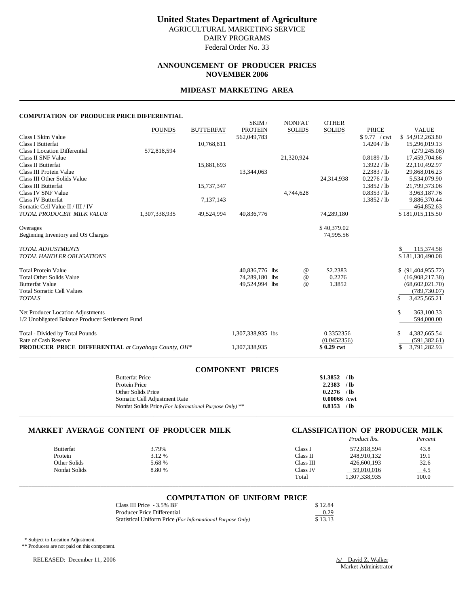#### **ANNOUNCEMENT OF PRODUCER PRICES NOVEMBER 2006**

#### **MIDEAST MARKETING AREA**

#### **COMPUTATION OF PRODUCER PRICE DIFFERENTIAL**

|                                                            | <b>POUNDS</b> | <b>BUTTERFAT</b> | SKIM/<br><b>PROTEIN</b> | <b>NONFAT</b><br><b>SOLIDS</b> | <b>OTHER</b><br><b>SOLIDS</b> | <b>PRICE</b>  | <b>VALUE</b>                        |
|------------------------------------------------------------|---------------|------------------|-------------------------|--------------------------------|-------------------------------|---------------|-------------------------------------|
| Class I Skim Value                                         |               |                  | 562,049,783             |                                |                               | \$9.77 / cwt  | \$54,912,263.80                     |
| <b>Class I Butterfat</b>                                   |               | 10,768,811       |                         |                                |                               | 1.4204 / lb   | 15,296,019.13                       |
| <b>Class I Location Differential</b>                       | 572,818,594   |                  |                         |                                |                               |               | (279, 245.08)                       |
| Class II SNF Value                                         |               |                  |                         | 21,320,924                     |                               | $0.8189$ / lb | 17,459,704.66                       |
| Class II Butterfat                                         |               | 15,881,693       |                         |                                |                               | 1.3922 / lb   | 22,110,492.97                       |
| Class III Protein Value                                    |               |                  | 13,344,063              |                                |                               | 2.2383 / lb   | 29,868,016.23                       |
| Class III Other Solids Value                               |               |                  |                         |                                | 24,314,938                    | 0.2276 / lb   | 5,534,079.90                        |
| Class III Butterfat                                        |               | 15,737,347       |                         |                                |                               | 1.3852 / lb   | 21,799,373.06                       |
| Class IV SNF Value                                         |               |                  |                         | 4,744,628                      |                               | 0.8353 / lb   | 3,963,187.76                        |
| <b>Class IV Butterfat</b>                                  |               | 7,137,143        |                         |                                |                               | 1.3852 / lb   | 9,886,370.44                        |
| Somatic Cell Value II / III / IV                           |               |                  |                         |                                |                               |               | 464,852.63                          |
| TOTAL PRODUCER MILK VALUE                                  | 1,307,338,935 | 49,524,994       | 40,836,776              |                                | 74,289,180                    |               | \$181,015,115.50                    |
| Overages                                                   |               |                  |                         |                                | \$40,379.02                   |               |                                     |
| Beginning Inventory and OS Charges                         |               |                  |                         |                                | 74,995.56                     |               |                                     |
|                                                            |               |                  |                         |                                |                               |               |                                     |
| <b>TOTAL ADJUSTMENTS</b>                                   |               |                  |                         |                                |                               |               | 115,374.58                          |
| <b>TOTAL HANDLER OBLIGATIONS</b>                           |               |                  |                         |                                |                               |               | \$181,130,490.08                    |
|                                                            |               |                  |                         |                                |                               |               |                                     |
| <b>Total Protein Value</b>                                 |               |                  | 40,836,776 lbs          | $^{\,a}$                       | \$2.2383                      |               | \$ (91,404,955.72)                  |
| <b>Total Other Solids Value</b>                            |               |                  | 74,289,180 lbs          | $^{\copyright}$                | 0.2276                        |               | (16,908,217.38)                     |
| <b>Butterfat Value</b>                                     |               |                  | 49,524,994 lbs          | $^{\omega}{}$                  | 1.3852                        |               | (68,602,021.70)                     |
| <b>Total Somatic Cell Values</b>                           |               |                  |                         |                                |                               |               | (789, 730.07)                       |
| <b>TOTALS</b>                                              |               |                  |                         |                                |                               |               | S<br>3,425,565.21                   |
| Net Producer Location Adjustments                          |               |                  |                         |                                |                               |               | \$<br>363,100.33                    |
| 1/2 Unobligated Balance Producer Settlement Fund           |               |                  |                         |                                |                               |               | 594,000.00                          |
|                                                            |               |                  |                         |                                |                               |               |                                     |
| Total - Divided by Total Pounds<br>Rate of Cash Reserve    |               |                  | 1,307,338,935 lbs       |                                | 0.3352356                     |               | \$<br>4,382,665.54                  |
| <b>PRODUCER PRICE DIFFERENTIAL</b> at Cuyahoga County, OH* |               |                  | 1,307,338,935           |                                | (0.0452356)<br>\$0.29 cwt     |               | (591, 382.61)<br>\$<br>3,791,282.93 |
|                                                            |               |                  |                         |                                |                               |               |                                     |

| <b>COMPONENT PRICES</b>                                 |                |
|---------------------------------------------------------|----------------|
| <b>Butterfat Price</b>                                  | $$1.3852$ /lb  |
| Protein Price                                           | $2.2383$ /lb   |
| Other Solids Price                                      | $0.2276$ /lb   |
| Somatic Cell Adjustment Rate                            | $0.00066$ /cwt |
| Nonfat Solids Price (For Informational Purpose Only) ** | 0.8353 / lb    |
|                                                         |                |

#### **MARKET AVERAGE CONTENT OF PRODUCER MILK CLASSIFICATION OF PRODUCER MILK**

# *Product lbs. Percent*

| <b>Butterfat</b> | 3.79%  | Class I   | 572,818,594   | 43.8       |
|------------------|--------|-----------|---------------|------------|
| Protein          | 3.12 % | Class II  | 248,910,132   | 19.1       |
| Other Solids     | 5.68%  | Class III | 426,600,193   | 32.6       |
| Nonfat Solids    | 8.80 % | Class IV  | 59.010.016    | <u>4.5</u> |
|                  |        | Total     | 1,307,338,935 | 100.0      |
|                  |        |           |               |            |

#### **COMPUTATION OF UNIFORM PRICE**

| Class III Price - 3.5% BF                                  | \$12.84 |
|------------------------------------------------------------|---------|
| Producer Price Differential                                | 0.29    |
| Statistical Uniform Price (For Informational Purpose Only) | \$13.13 |

\* Subject to Location Adjustment.

\_\_\_\_\_\_\_\_\_\_\_\_

\*\* Producers are not paid on this component.

RELEASED: December 11, 2006